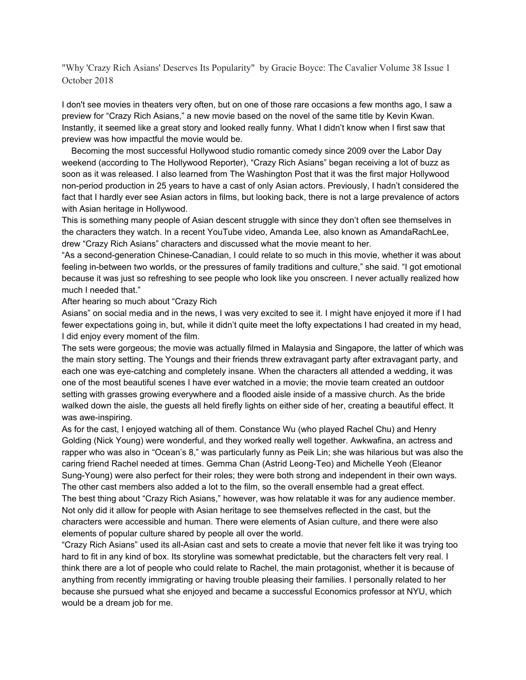"Why 'Crazy Rich Asians' Deserves Its Popularity" by Gracie Boyce: The Cavalier Volume 38 Issue 1 October 2018

I don't see movies in theaters very often, but on one of those rare occasions a few months ago, I saw a preview for "Crazy Rich Asians," a new movie based on the novel of the same title by Kevin Kwan. Instantly, it seemed like a great story and looked really funny. What I didn't know when I first saw that preview was how impactful the movie would be.

Becoming the most successful Hollywood studio romantic comedy since 2009 over the Labor Day weekend (according to The Hollywood Reporter), "Crazy Rich Asians" began receiving a lot of buzz as soon as it was released. I also learned from The Washington Post that it was the first major Hollywood non-period production in 25 years to have a cast of only Asian actors. Previously, I hadn't considered the fact that I hardly ever see Asian actors in films, but looking back, there is not a large prevalence of actors with Asian heritage in Hollywood.

This is something many people of Asian descent struggle with since they don't often see themselves in the characters they watch. In a recent YouTube video, Amanda Lee, also known as AmandaRachLee, drew "Crazy Rich Asians" characters and discussed what the movie meant to her.

"As a second-generation Chinese-Canadian, I could relate to so much in this movie, whether it was about feeling in-between two worlds, or the pressures of family traditions and culture," she said. "I got emotional because it was just so refreshing to see people who look like you onscreen. I never actually realized how much I needed that."

After hearing so much about "Crazy Rich

Asians" on social media and in the news, I was very excited to see it. I might have enjoyed it more if I had fewer expectations going in, but, while it didn't quite meet the lofty expectations I had created in my head, I did enjoy every moment of the film.

The sets were gorgeous; the movie was actually filmed in Malaysia and Singapore, the latter of which was the main story setting. The Youngs and their friends threw extravagant party after extravagant party, and each one was eye-catching and completely insane. When the characters all attended a wedding, it was one of the most beautiful scenes I have ever watched in a movie; the movie team created an outdoor setting with grasses growing everywhere and a flooded aisle inside of a massive church. As the bride walked down the aisle, the guests all held firefly lights on either side of her, creating a beautiful effect. It was awe-inspiring.

As for the cast, I enjoyed watching all of them. Constance Wu (who played Rachel Chu) and Henry Golding (Nick Young) were wonderful, and they worked really well together. Awkwafina, an actress and rapper who was also in "Ocean's 8," was particularly funny as Peik Lin; she was hilarious but was also the caring friend Rachel needed at times. Gemma Chan (Astrid Leong-Teo) and Michelle Yeoh (Eleanor Sung-Young) were also perfect for their roles; they were both strong and independent in their own ways. The other cast members also added a lot to the film, so the overall ensemble had a great effect. The best thing about "Crazy Rich Asians," however, was how relatable it was for any audience member. Not only did it allow for people with Asian heritage to see themselves reflected in the cast, but the characters were accessible and human. There were elements of Asian culture, and there were also elements of popular culture shared by people all over the world.

"Crazy Rich Asians" used its all-Asian cast and sets to create a movie that never felt like it was trying too hard to fit in any kind of box. Its storyline was somewhat predictable, but the characters felt very real. I think there are a lot of people who could relate to Rachel, the main protagonist, whether it is because of anything from recently immigrating or having trouble pleasing their families. I personally related to her because she pursued what she enjoyed and became a successful Economics professor at NYU, which would be a dream job for me.